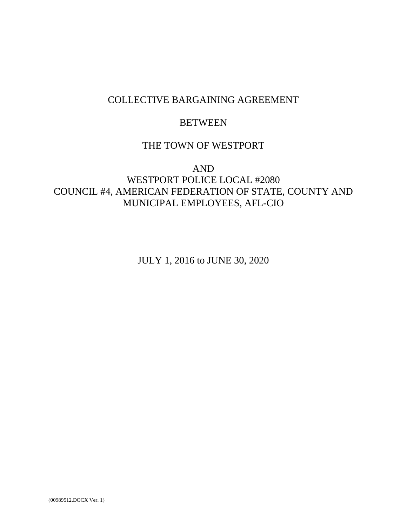# COLLECTIVE BARGAINING AGREEMENT

# **BETWEEN**

# THE TOWN OF WESTPORT

# AND WESTPORT POLICE LOCAL #2080 COUNCIL #4, AMERICAN FEDERATION OF STATE, COUNTY AND MUNICIPAL EMPLOYEES, AFL-CIO

JULY 1, 2016 to JUNE 30, 2020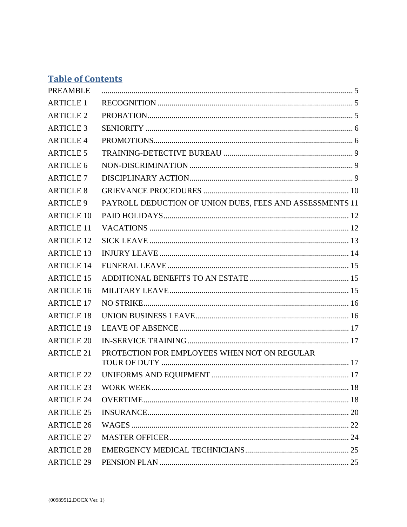# **Table of Contents**

| <b>PREAMBLE</b>   |                                                          |  |
|-------------------|----------------------------------------------------------|--|
| <b>ARTICLE 1</b>  |                                                          |  |
| <b>ARTICLE 2</b>  |                                                          |  |
| <b>ARTICLE 3</b>  |                                                          |  |
| <b>ARTICLE 4</b>  |                                                          |  |
| <b>ARTICLE 5</b>  |                                                          |  |
| <b>ARTICLE 6</b>  |                                                          |  |
| <b>ARTICLE 7</b>  |                                                          |  |
| <b>ARTICLE 8</b>  |                                                          |  |
| <b>ARTICLE 9</b>  | PAYROLL DEDUCTION OF UNION DUES, FEES AND ASSESSMENTS 11 |  |
| <b>ARTICLE 10</b> |                                                          |  |
| <b>ARTICLE 11</b> |                                                          |  |
| <b>ARTICLE 12</b> |                                                          |  |
| <b>ARTICLE 13</b> |                                                          |  |
| <b>ARTICLE 14</b> |                                                          |  |
| <b>ARTICLE 15</b> |                                                          |  |
| <b>ARTICLE 16</b> |                                                          |  |
| <b>ARTICLE 17</b> |                                                          |  |
| <b>ARTICLE 18</b> |                                                          |  |
| <b>ARTICLE 19</b> |                                                          |  |
| <b>ARTICLE 20</b> |                                                          |  |
| <b>ARTICLE 21</b> | PROTECTION FOR EMPLOYEES WHEN NOT ON REGULAR             |  |
| <b>ARTICLE 22</b> |                                                          |  |
| <b>ARTICLE 23</b> |                                                          |  |
| <b>ARTICLE 24</b> |                                                          |  |
| <b>ARTICLE 25</b> |                                                          |  |
| <b>ARTICLE 26</b> |                                                          |  |
| <b>ARTICLE 27</b> |                                                          |  |
| <b>ARTICLE 28</b> |                                                          |  |
| <b>ARTICLE 29</b> |                                                          |  |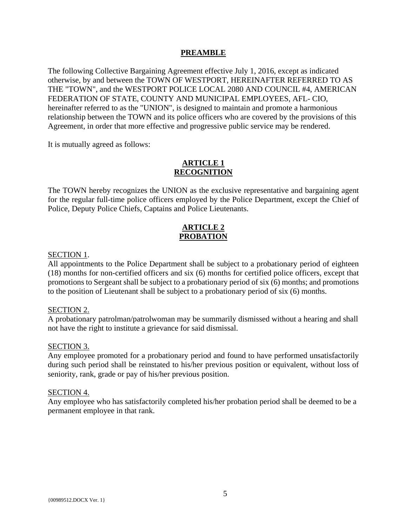## **PREAMBLE**

The following Collective Bargaining Agreement effective July 1, 2016, except as indicated otherwise, by and between the TOWN OF WESTPORT, HEREINAFTER REFERRED TO AS THE "TOWN", and the WESTPORT POLICE LOCAL 2080 AND COUNCIL #4, AMERICAN FEDERATION OF STATE, COUNTY AND MUNICIPAL EMPLOYEES, AFL- CIO, hereinafter referred to as the "UNION", is designed to maintain and promote a harmonious relationship between the TOWN and its police officers who are covered by the provisions of this Agreement, in order that more effective and progressive public service may be rendered.

It is mutually agreed as follows:

## **ARTICLE 1 RECOGNITION**

The TOWN hereby recognizes the UNION as the exclusive representative and bargaining agent for the regular full-time police officers employed by the Police Department, except the Chief of Police, Deputy Police Chiefs, Captains and Police Lieutenants.

## **ARTICLE 2 PROBATION**

#### SECTION 1.

All appointments to the Police Department shall be subject to a probationary period of eighteen (18) months for non-certified officers and six (6) months for certified police officers, except that promotions to Sergeant shall be subject to a probationary period of six (6) months; and promotions to the position of Lieutenant shall be subject to a probationary period of six (6) months.

#### SECTION 2.

A probationary patrolman/patrolwoman may be summarily dismissed without a hearing and shall not have the right to institute a grievance for said dismissal.

#### SECTION 3.

Any employee promoted for a probationary period and found to have performed unsatisfactorily during such period shall be reinstated to his/her previous position or equivalent, without loss of seniority, rank, grade or pay of his/her previous position.

#### SECTION 4.

Any employee who has satisfactorily completed his/her probation period shall be deemed to be a permanent employee in that rank.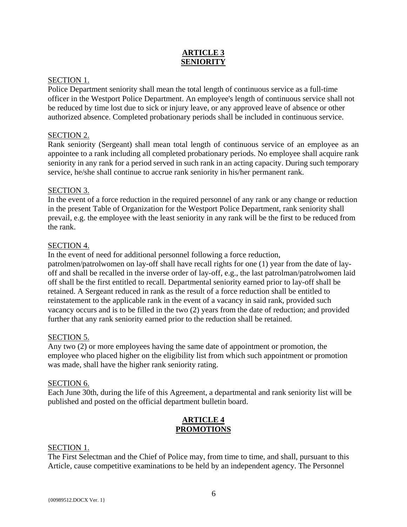## **ARTICLE 3 SENIORITY**

## SECTION 1.

Police Department seniority shall mean the total length of continuous service as a full-time officer in the Westport Police Department. An employee's length of continuous service shall not be reduced by time lost due to sick or injury leave, or any approved leave of absence or other authorized absence. Completed probationary periods shall be included in continuous service.

## SECTION 2.

Rank seniority (Sergeant) shall mean total length of continuous service of an employee as an appointee to a rank including all completed probationary periods. No employee shall acquire rank seniority in any rank for a period served in such rank in an acting capacity. During such temporary service, he/she shall continue to accrue rank seniority in his/her permanent rank.

## SECTION 3.

In the event of a force reduction in the required personnel of any rank or any change or reduction in the present Table of Organization for the Westport Police Department, rank seniority shall prevail, e.g. the employee with the least seniority in any rank will be the first to be reduced from the rank.

## SECTION 4.

In the event of need for additional personnel following a force reduction,

patrolmen/patrolwomen on lay-off shall have recall rights for one (1) year from the date of layoff and shall be recalled in the inverse order of lay-off, e.g., the last patrolman/patrolwomen laid off shall be the first entitled to recall. Departmental seniority earned prior to lay-off shall be retained. A Sergeant reduced in rank as the result of a force reduction shall be entitled to reinstatement to the applicable rank in the event of a vacancy in said rank, provided such vacancy occurs and is to be filled in the two (2) years from the date of reduction; and provided further that any rank seniority earned prior to the reduction shall be retained.

## SECTION 5.

Any two (2) or more employees having the same date of appointment or promotion, the employee who placed higher on the eligibility list from which such appointment or promotion was made, shall have the higher rank seniority rating.

## SECTION 6.

Each June 30th, during the life of this Agreement, a departmental and rank seniority list will be published and posted on the official department bulletin board.

## **ARTICLE 4 PROMOTIONS**

## SECTION 1.

The First Selectman and the Chief of Police may, from time to time, and shall, pursuant to this Article, cause competitive examinations to be held by an independent agency. The Personnel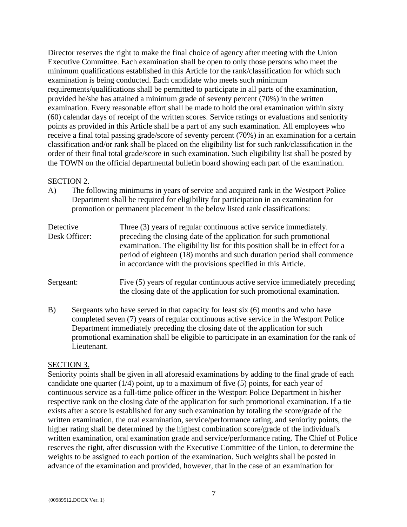Director reserves the right to make the final choice of agency after meeting with the Union Executive Committee. Each examination shall be open to only those persons who meet the minimum qualifications established in this Article for the rank/classification for which such examination is being conducted. Each candidate who meets such minimum requirements/qualifications shall be permitted to participate in all parts of the examination, provided he/she has attained a minimum grade of seventy percent (70%) in the written examination. Every reasonable effort shall be made to hold the oral examination within sixty (60) calendar days of receipt of the written scores. Service ratings or evaluations and seniority points as provided in this Article shall be a part of any such examination. All employees who receive a final total passing grade/score of seventy percent (70%) in an examination for a certain classification and/or rank shall be placed on the eligibility list for such rank/classification in the order of their final total grade/score in such examination. Such eligibility list shall be posted by the TOWN on the official departmental bulletin board showing each part of the examination.

#### SECTION 2.

A) The following minimums in years of service and acquired rank in the Westport Police Department shall be required for eligibility for participation in an examination for promotion or permanent placement in the below listed rank classifications:

| Detective<br>Desk Officer: | Three (3) years of regular continuous active service immediately.<br>preceding the closing date of the application for such promotional<br>examination. The eligibility list for this position shall be in effect for a<br>period of eighteen (18) months and such duration period shall commence<br>in accordance with the provisions specified in this Article. |
|----------------------------|-------------------------------------------------------------------------------------------------------------------------------------------------------------------------------------------------------------------------------------------------------------------------------------------------------------------------------------------------------------------|
| Sergeant:                  | Five (5) years of regular continuous active service immediately preceding<br>the closing date of the application for such promotional examination.                                                                                                                                                                                                                |

B) Sergeants who have served in that capacity for least six (6) months and who have completed seven (7) years of regular continuous active service in the Westport Police Department immediately preceding the closing date of the application for such promotional examination shall be eligible to participate in an examination for the rank of Lieutenant.

## SECTION 3.

Seniority points shall be given in all aforesaid examinations by adding to the final grade of each candidate one quarter  $(1/4)$  point, up to a maximum of five  $(5)$  points, for each year of continuous service as a full-time police officer in the Westport Police Department in his/her respective rank on the closing date of the application for such promotional examination. If a tie exists after a score is established for any such examination by totaling the score/grade of the written examination, the oral examination, service/performance rating, and seniority points, the higher rating shall be determined by the highest combination score/grade of the individual's written examination, oral examination grade and service/performance rating. The Chief of Police reserves the right, after discussion with the Executive Committee of the Union, to determine the weights to be assigned to each portion of the examination. Such weights shall be posted in advance of the examination and provided, however, that in the case of an examination for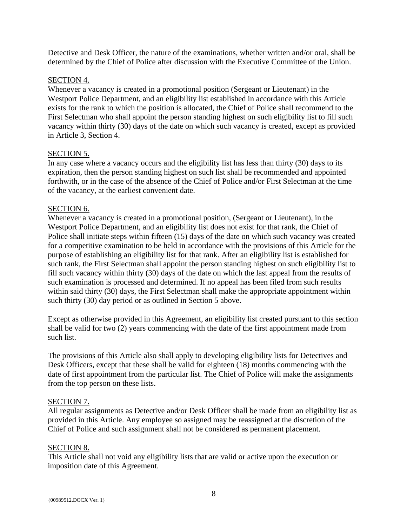Detective and Desk Officer, the nature of the examinations, whether written and/or oral, shall be determined by the Chief of Police after discussion with the Executive Committee of the Union.

## SECTION 4.

Whenever a vacancy is created in a promotional position (Sergeant or Lieutenant) in the Westport Police Department, and an eligibility list established in accordance with this Article exists for the rank to which the position is allocated, the Chief of Police shall recommend to the First Selectman who shall appoint the person standing highest on such eligibility list to fill such vacancy within thirty (30) days of the date on which such vacancy is created, except as provided in Article 3, Section 4.

## SECTION 5.

In any case where a vacancy occurs and the eligibility list has less than thirty (30) days to its expiration, then the person standing highest on such list shall be recommended and appointed forthwith, or in the case of the absence of the Chief of Police and/or First Selectman at the time of the vacancy, at the earliest convenient date.

## SECTION 6.

Whenever a vacancy is created in a promotional position, (Sergeant or Lieutenant), in the Westport Police Department, and an eligibility list does not exist for that rank, the Chief of Police shall initiate steps within fifteen (15) days of the date on which such vacancy was created for a competitive examination to be held in accordance with the provisions of this Article for the purpose of establishing an eligibility list for that rank. After an eligibility list is established for such rank, the First Selectman shall appoint the person standing highest on such eligibility list to fill such vacancy within thirty (30) days of the date on which the last appeal from the results of such examination is processed and determined. If no appeal has been filed from such results within said thirty (30) days, the First Selectman shall make the appropriate appointment within such thirty (30) day period or as outlined in Section 5 above.

Except as otherwise provided in this Agreement, an eligibility list created pursuant to this section shall be valid for two (2) years commencing with the date of the first appointment made from such list.

The provisions of this Article also shall apply to developing eligibility lists for Detectives and Desk Officers, except that these shall be valid for eighteen (18) months commencing with the date of first appointment from the particular list. The Chief of Police will make the assignments from the top person on these lists.

## SECTION 7.

All regular assignments as Detective and/or Desk Officer shall be made from an eligibility list as provided in this Article. Any employee so assigned may be reassigned at the discretion of the Chief of Police and such assignment shall not be considered as permanent placement.

## SECTION 8.

This Article shall not void any eligibility lists that are valid or active upon the execution or imposition date of this Agreement.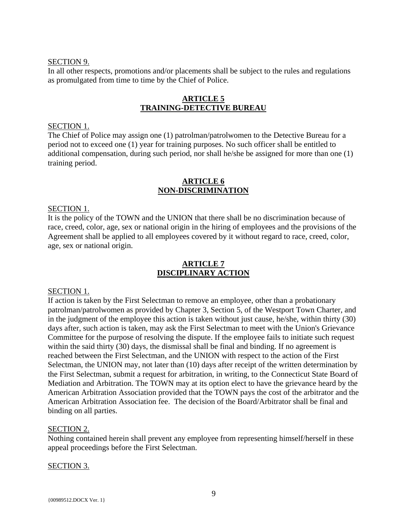#### SECTION 9.

In all other respects, promotions and/or placements shall be subject to the rules and regulations as promulgated from time to time by the Chief of Police.

## **ARTICLE 5 TRAINING-DETECTIVE BUREAU**

#### SECTION 1.

The Chief of Police may assign one (1) patrolman/patrolwomen to the Detective Bureau for a period not to exceed one (1) year for training purposes. No such officer shall be entitled to additional compensation, during such period, nor shall he/she be assigned for more than one (1) training period.

#### **ARTICLE 6 NON-DISCRIMINATION**

#### SECTION 1.

It is the policy of the TOWN and the UNION that there shall be no discrimination because of race, creed, color, age, sex or national origin in the hiring of employees and the provisions of the Agreement shall be applied to all employees covered by it without regard to race, creed, color, age, sex or national origin.

## **ARTICLE 7 DISCIPLINARY ACTION**

#### SECTION 1.

If action is taken by the First Selectman to remove an employee, other than a probationary patrolman/patrolwomen as provided by Chapter 3, Section 5, of the Westport Town Charter, and in the judgment of the employee this action is taken without just cause, he/she, within thirty (30) days after, such action is taken, may ask the First Selectman to meet with the Union's Grievance Committee for the purpose of resolving the dispute. If the employee fails to initiate such request within the said thirty (30) days, the dismissal shall be final and binding. If no agreement is reached between the First Selectman, and the UNION with respect to the action of the First Selectman, the UNION may, not later than (10) days after receipt of the written determination by the First Selectman, submit a request for arbitration, in writing, to the Connecticut State Board of Mediation and Arbitration. The TOWN may at its option elect to have the grievance heard by the American Arbitration Association provided that the TOWN pays the cost of the arbitrator and the American Arbitration Association fee. The decision of the Board/Arbitrator shall be final and binding on all parties.

#### SECTION 2.

Nothing contained herein shall prevent any employee from representing himself/herself in these appeal proceedings before the First Selectman.

#### SECTION 3.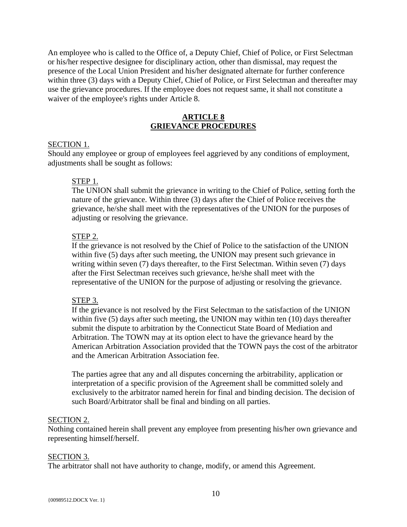An employee who is called to the Office of, a Deputy Chief, Chief of Police, or First Selectman or his/her respective designee for disciplinary action, other than dismissal, may request the presence of the Local Union President and his/her designated alternate for further conference within three (3) days with a Deputy Chief, Chief of Police, or First Selectman and thereafter may use the grievance procedures. If the employee does not request same, it shall not constitute a waiver of the employee's rights under Article 8.

## **ARTICLE 8 GRIEVANCE PROCEDURES**

#### SECTION 1.

Should any employee or group of employees feel aggrieved by any conditions of employment, adjustments shall be sought as follows:

#### STEP 1.

The UNION shall submit the grievance in writing to the Chief of Police, setting forth the nature of the grievance. Within three (3) days after the Chief of Police receives the grievance, he/she shall meet with the representatives of the UNION for the purposes of adjusting or resolving the grievance.

#### STEP 2.

If the grievance is not resolved by the Chief of Police to the satisfaction of the UNION within five (5) days after such meeting, the UNION may present such grievance in writing within seven (7) days thereafter, to the First Selectman. Within seven (7) days after the First Selectman receives such grievance, he/she shall meet with the representative of the UNION for the purpose of adjusting or resolving the grievance.

#### STEP 3.

If the grievance is not resolved by the First Selectman to the satisfaction of the UNION within five (5) days after such meeting, the UNION may within ten (10) days thereafter submit the dispute to arbitration by the Connecticut State Board of Mediation and Arbitration. The TOWN may at its option elect to have the grievance heard by the American Arbitration Association provided that the TOWN pays the cost of the arbitrator and the American Arbitration Association fee.

The parties agree that any and all disputes concerning the arbitrability, application or interpretation of a specific provision of the Agreement shall be committed solely and exclusively to the arbitrator named herein for final and binding decision. The decision of such Board/Arbitrator shall be final and binding on all parties.

#### SECTION 2.

Nothing contained herein shall prevent any employee from presenting his/her own grievance and representing himself/herself.

#### SECTION 3.

The arbitrator shall not have authority to change, modify, or amend this Agreement.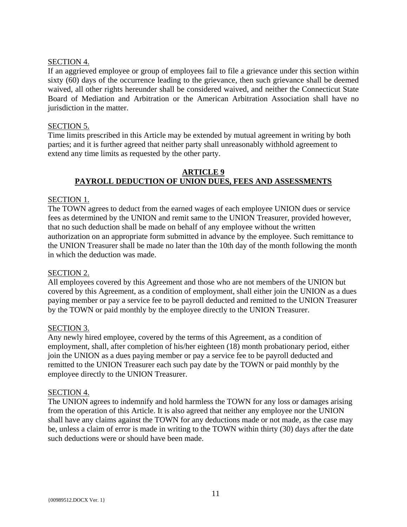## SECTION 4.

If an aggrieved employee or group of employees fail to file a grievance under this section within sixty (60) days of the occurrence leading to the grievance, then such grievance shall be deemed waived, all other rights hereunder shall be considered waived, and neither the Connecticut State Board of Mediation and Arbitration or the American Arbitration Association shall have no jurisdiction in the matter.

## SECTION 5.

Time limits prescribed in this Article may be extended by mutual agreement in writing by both parties; and it is further agreed that neither party shall unreasonably withhold agreement to extend any time limits as requested by the other party.

## **ARTICLE 9 PAYROLL DEDUCTION OF UNION DUES, FEES AND ASSESSMENTS**

## SECTION 1.

The TOWN agrees to deduct from the earned wages of each employee UNION dues or service fees as determined by the UNION and remit same to the UNION Treasurer, provided however, that no such deduction shall be made on behalf of any employee without the written authorization on an appropriate form submitted in advance by the employee. Such remittance to the UNION Treasurer shall be made no later than the 10th day of the month following the month in which the deduction was made.

## SECTION 2.

All employees covered by this Agreement and those who are not members of the UNION but covered by this Agreement, as a condition of employment, shall either join the UNION as a dues paying member or pay a service fee to be payroll deducted and remitted to the UNION Treasurer by the TOWN or paid monthly by the employee directly to the UNION Treasurer.

## SECTION 3.

Any newly hired employee, covered by the terms of this Agreement, as a condition of employment, shall, after completion of his/her eighteen (18) month probationary period, either join the UNION as a dues paying member or pay a service fee to be payroll deducted and remitted to the UNION Treasurer each such pay date by the TOWN or paid monthly by the employee directly to the UNION Treasurer.

## SECTION 4.

The UNION agrees to indemnify and hold harmless the TOWN for any loss or damages arising from the operation of this Article. It is also agreed that neither any employee nor the UNION shall have any claims against the TOWN for any deductions made or not made, as the case may be, unless a claim of error is made in writing to the TOWN within thirty (30) days after the date such deductions were or should have been made.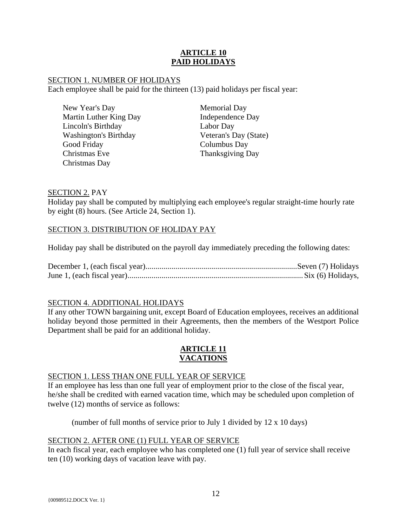## **ARTICLE 10 PAID HOLIDAYS**

## SECTION 1. NUMBER OF HOLIDAYS

Each employee shall be paid for the thirteen (13) paid holidays per fiscal year:

Memorial Day Independence Day Labor Day Veteran's Day (State) Columbus Day Thanksgiving Day

## SECTION 2. PAY

Holiday pay shall be computed by multiplying each employee's regular straight-time hourly rate by eight (8) hours. (See Article 24, Section 1).

## SECTION 3. DISTRIBUTION OF HOLIDAY PAY

Holiday pay shall be distributed on the payroll day immediately preceding the following dates:

## SECTION 4. ADDITIONAL HOLIDAYS

If any other TOWN bargaining unit, except Board of Education employees, receives an additional holiday beyond those permitted in their Agreements, then the members of the Westport Police Department shall be paid for an additional holiday.

## **ARTICLE 11 VACATIONS**

## SECTION 1. LESS THAN ONE FULL YEAR OF SERVICE

If an employee has less than one full year of employment prior to the close of the fiscal year, he/she shall be credited with earned vacation time, which may be scheduled upon completion of twelve (12) months of service as follows:

(number of full months of service prior to July 1 divided by 12 x 10 days)

## SECTION 2. AFTER ONE (1) FULL YEAR OF SERVICE

In each fiscal year, each employee who has completed one (1) full year of service shall receive ten (10) working days of vacation leave with pay.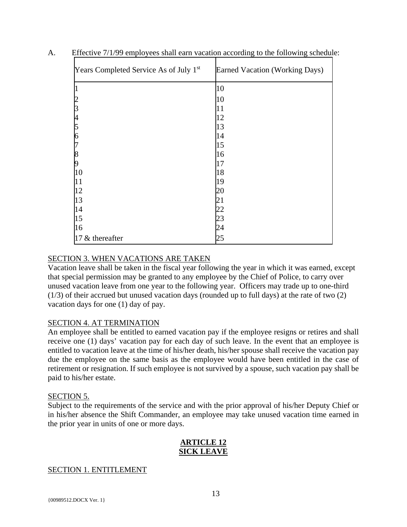| Years Completed Service As of July 1st | Earned Vacation (Working Days) |
|----------------------------------------|--------------------------------|
|                                        | 10                             |
|                                        | 10                             |
|                                        | 11                             |
| 4                                      | 12                             |
| 5                                      | 13                             |
| n                                      | 14                             |
|                                        | 15                             |
| 8                                      | 16                             |
| 9                                      | 17                             |
| 10                                     | 18                             |
| 11                                     | 19                             |
| 12                                     | 20                             |
| 13                                     | 21                             |
| 14                                     | 22                             |
| 15                                     | 23                             |
| 16                                     | 24                             |
| 17 & thereafter                        | 25                             |

A. Effective 7/1/99 employees shall earn vacation according to the following schedule:

## SECTION 3. WHEN VACATIONS ARE TAKEN

Vacation leave shall be taken in the fiscal year following the year in which it was earned, except that special permission may be granted to any employee by the Chief of Police, to carry over unused vacation leave from one year to the following year. Officers may trade up to one-third (1/3) of their accrued but unused vacation days (rounded up to full days) at the rate of two (2) vacation days for one (1) day of pay.

## SECTION 4. AT TERMINATION

An employee shall be entitled to earned vacation pay if the employee resigns or retires and shall receive one (1) days' vacation pay for each day of such leave. In the event that an employee is entitled to vacation leave at the time of his/her death, his/her spouse shall receive the vacation pay due the employee on the same basis as the employee would have been entitled in the case of retirement or resignation. If such employee is not survived by a spouse, such vacation pay shall be paid to his/her estate.

## SECTION 5.

Subject to the requirements of the service and with the prior approval of his/her Deputy Chief or in his/her absence the Shift Commander, an employee may take unused vacation time earned in the prior year in units of one or more days.

## **ARTICLE 12 SICK LEAVE**

## SECTION 1. ENTITLEMENT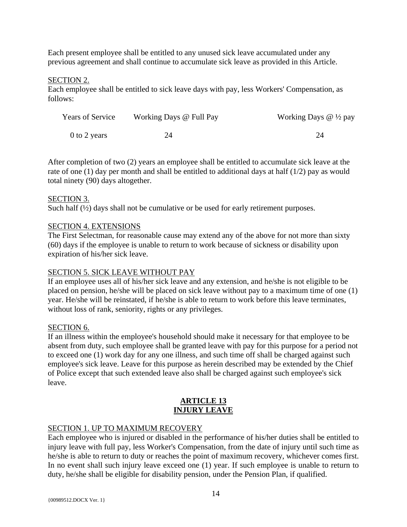Each present employee shall be entitled to any unused sick leave accumulated under any previous agreement and shall continue to accumulate sick leave as provided in this Article.

#### SECTION 2.

Each employee shall be entitled to sick leave days with pay, less Workers' Compensation, as follows:

| <b>Years of Service</b> | Working Days @ Full Pay | Working Days $@$ $\frac{1}{2}$ pay |
|-------------------------|-------------------------|------------------------------------|
| 0 to 2 years            |                         |                                    |

After completion of two (2) years an employee shall be entitled to accumulate sick leave at the rate of one (1) day per month and shall be entitled to additional days at half (1/2) pay as would total ninety (90) days altogether.

#### SECTION 3.

Such half  $(\frac{1}{2})$  days shall not be cumulative or be used for early retirement purposes.

#### SECTION 4. EXTENSIONS

The First Selectman, for reasonable cause may extend any of the above for not more than sixty (60) days if the employee is unable to return to work because of sickness or disability upon expiration of his/her sick leave.

## SECTION 5. SICK LEAVE WITHOUT PAY

If an employee uses all of his/her sick leave and any extension, and he/she is not eligible to be placed on pension, he/she will be placed on sick leave without pay to a maximum time of one (1) year. He/she will be reinstated, if he/she is able to return to work before this leave terminates, without loss of rank, seniority, rights or any privileges.

#### SECTION 6.

If an illness within the employee's household should make it necessary for that employee to be absent from duty, such employee shall be granted leave with pay for this purpose for a period not to exceed one (1) work day for any one illness, and such time off shall be charged against such employee's sick leave. Leave for this purpose as herein described may be extended by the Chief of Police except that such extended leave also shall be charged against such employee's sick leave.

## **ARTICLE 13 INJURY LEAVE**

#### SECTION 1. UP TO MAXIMUM RECOVERY

Each employee who is injured or disabled in the performance of his/her duties shall be entitled to injury leave with full pay, less Worker's Compensation, from the date of injury until such time as he/she is able to return to duty or reaches the point of maximum recovery, whichever comes first. In no event shall such injury leave exceed one (1) year. If such employee is unable to return to duty, he/she shall be eligible for disability pension, under the Pension Plan, if qualified.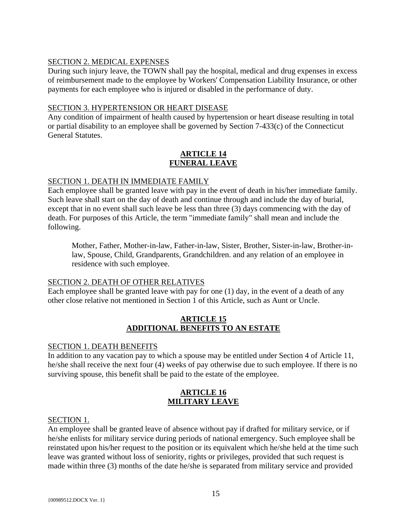## SECTION 2. MEDICAL EXPENSES

During such injury leave, the TOWN shall pay the hospital, medical and drug expenses in excess of reimbursement made to the employee by Workers' Compensation Liability Insurance, or other payments for each employee who is injured or disabled in the performance of duty.

## SECTION 3. HYPERTENSION OR HEART DISEASE

Any condition of impairment of health caused by hypertension or heart disease resulting in total or partial disability to an employee shall be governed by Section 7-433(c) of the Connecticut General Statutes.

## **ARTICLE 14 FUNERAL LEAVE**

## SECTION 1. DEATH IN IMMEDIATE FAMILY

Each employee shall be granted leave with pay in the event of death in his/her immediate family. Such leave shall start on the day of death and continue through and include the day of burial, except that in no event shall such leave be less than three (3) days commencing with the day of death. For purposes of this Article, the term "immediate family" shall mean and include the following.

Mother, Father, Mother-in-law, Father-in-law, Sister, Brother, Sister-in-law, Brother-inlaw, Spouse, Child, Grandparents, Grandchildren. and any relation of an employee in residence with such employee.

## SECTION 2. DEATH OF OTHER RELATIVES

Each employee shall be granted leave with pay for one (1) day, in the event of a death of any other close relative not mentioned in Section 1 of this Article, such as Aunt or Uncle.

## **ARTICLE 15 ADDITIONAL BENEFITS TO AN ESTATE**

## SECTION 1. DEATH BENEFITS

In addition to any vacation pay to which a spouse may be entitled under Section 4 of Article 11, he/she shall receive the next four (4) weeks of pay otherwise due to such employee. If there is no surviving spouse, this benefit shall be paid to the estate of the employee.

## **ARTICLE 16 MILITARY LEAVE**

## SECTION 1.

An employee shall be granted leave of absence without pay if drafted for military service, or if he/she enlists for military service during periods of national emergency. Such employee shall be reinstated upon his/her request to the position or its equivalent which he/she held at the time such leave was granted without loss of seniority, rights or privileges, provided that such request is made within three (3) months of the date he/she is separated from military service and provided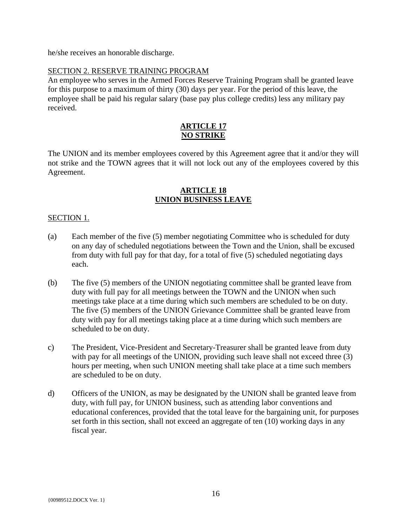he/she receives an honorable discharge.

## SECTION 2. RESERVE TRAINING PROGRAM

An employee who serves in the Armed Forces Reserve Training Program shall be granted leave for this purpose to a maximum of thirty (30) days per year. For the period of this leave, the employee shall be paid his regular salary (base pay plus college credits) less any military pay received.

## **ARTICLE 17 NO STRIKE**

The UNION and its member employees covered by this Agreement agree that it and/or they will not strike and the TOWN agrees that it will not lock out any of the employees covered by this Agreement.

## **ARTICLE 18 UNION BUSINESS LEAVE**

## SECTION 1.

- (a) Each member of the five (5) member negotiating Committee who is scheduled for duty on any day of scheduled negotiations between the Town and the Union, shall be excused from duty with full pay for that day, for a total of five (5) scheduled negotiating days each.
- (b) The five (5) members of the UNION negotiating committee shall be granted leave from duty with full pay for all meetings between the TOWN and the UNION when such meetings take place at a time during which such members are scheduled to be on duty. The five (5) members of the UNION Grievance Committee shall be granted leave from duty with pay for all meetings taking place at a time during which such members are scheduled to be on duty.
- c) The President, Vice-President and Secretary-Treasurer shall be granted leave from duty with pay for all meetings of the UNION, providing such leave shall not exceed three (3) hours per meeting, when such UNION meeting shall take place at a time such members are scheduled to be on duty.
- d) Officers of the UNION, as may be designated by the UNION shall be granted leave from duty, with full pay, for UNION business, such as attending labor conventions and educational conferences, provided that the total leave for the bargaining unit, for purposes set forth in this section, shall not exceed an aggregate of ten (10) working days in any fiscal year.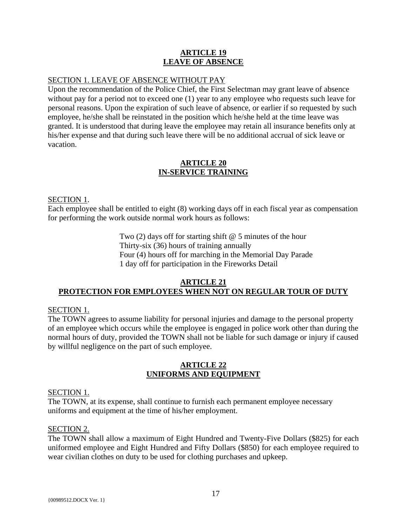## **ARTICLE 19 LEAVE OF ABSENCE**

## SECTION 1. LEAVE OF ABSENCE WITHOUT PAY

Upon the recommendation of the Police Chief, the First Selectman may grant leave of absence without pay for a period not to exceed one (1) year to any employee who requests such leave for personal reasons. Upon the expiration of such leave of absence, or earlier if so requested by such employee, he/she shall be reinstated in the position which he/she held at the time leave was granted. It is understood that during leave the employee may retain all insurance benefits only at his/her expense and that during such leave there will be no additional accrual of sick leave or vacation.

## **ARTICLE 20 IN-SERVICE TRAINING**

#### SECTION 1.

Each employee shall be entitled to eight (8) working days off in each fiscal year as compensation for performing the work outside normal work hours as follows:

> Two (2) days off for starting shift @ 5 minutes of the hour Thirty-six (36) hours of training annually Four (4) hours off for marching in the Memorial Day Parade 1 day off for participation in the Fireworks Detail

## **ARTICLE 21 PROTECTION FOR EMPLOYEES WHEN NOT ON REGULAR TOUR OF DUTY**

## SECTION 1.

The TOWN agrees to assume liability for personal injuries and damage to the personal property of an employee which occurs while the employee is engaged in police work other than during the normal hours of duty, provided the TOWN shall not be liable for such damage or injury if caused by willful negligence on the part of such employee.

## **ARTICLE 22 UNIFORMS AND EQUIPMENT**

#### SECTION 1.

The TOWN, at its expense, shall continue to furnish each permanent employee necessary uniforms and equipment at the time of his/her employment.

#### SECTION 2.

The TOWN shall allow a maximum of Eight Hundred and Twenty-Five Dollars (\$825) for each uniformed employee and Eight Hundred and Fifty Dollars (\$850) for each employee required to wear civilian clothes on duty to be used for clothing purchases and upkeep.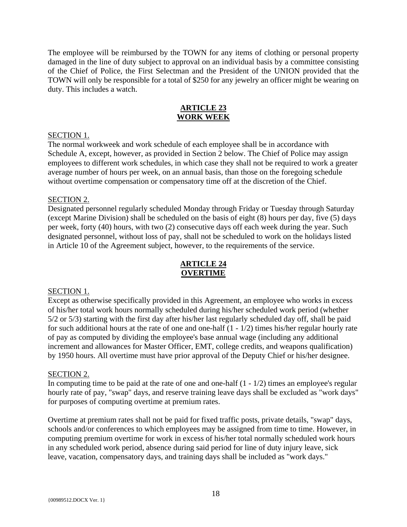The employee will be reimbursed by the TOWN for any items of clothing or personal property damaged in the line of duty subject to approval on an individual basis by a committee consisting of the Chief of Police, the First Selectman and the President of the UNION provided that the TOWN will only be responsible for a total of \$250 for any jewelry an officer might be wearing on duty. This includes a watch.

## **ARTICLE 23 WORK WEEK**

#### SECTION 1.

The normal workweek and work schedule of each employee shall be in accordance with Schedule A, except, however, as provided in Section 2 below. The Chief of Police may assign employees to different work schedules, in which case they shall not be required to work a greater average number of hours per week, on an annual basis, than those on the foregoing schedule without overtime compensation or compensatory time off at the discretion of the Chief.

#### SECTION 2.

Designated personnel regularly scheduled Monday through Friday or Tuesday through Saturday (except Marine Division) shall be scheduled on the basis of eight (8) hours per day, five (5) days per week, forty (40) hours, with two (2) consecutive days off each week during the year. Such designated personnel, without loss of pay, shall not be scheduled to work on the holidays listed in Article 10 of the Agreement subject, however, to the requirements of the service.

## **ARTICLE 24 OVERTIME**

#### SECTION 1.

Except as otherwise specifically provided in this Agreement, an employee who works in excess of his/her total work hours normally scheduled during his/her scheduled work period (whether 5/2 or 5/3) starting with the first day after his/her last regularly scheduled day off, shall be paid for such additional hours at the rate of one and one-half (1 - 1/2) times his/her regular hourly rate of pay as computed by dividing the employee's base annual wage (including any additional increment and allowances for Master Officer, EMT, college credits, and weapons qualification) by 1950 hours. All overtime must have prior approval of the Deputy Chief or his/her designee.

#### SECTION 2.

In computing time to be paid at the rate of one and one-half  $(1 - 1/2)$  times an employee's regular hourly rate of pay, "swap" days, and reserve training leave days shall be excluded as "work days" for purposes of computing overtime at premium rates.

Overtime at premium rates shall not be paid for fixed traffic posts, private details, "swap" days, schools and/or conferences to which employees may be assigned from time to time. However, in computing premium overtime for work in excess of his/her total normally scheduled work hours in any scheduled work period, absence during said period for line of duty injury leave, sick leave, vacation, compensatory days, and training days shall be included as "work days."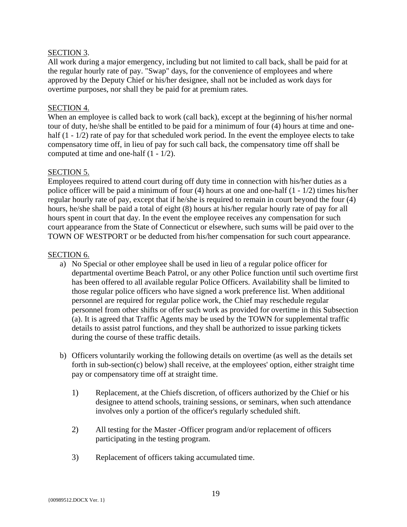## SECTION 3.

All work during a major emergency, including but not limited to call back, shall be paid for at the regular hourly rate of pay. "Swap" days, for the convenience of employees and where approved by the Deputy Chief or his/her designee, shall not be included as work days for overtime purposes, nor shall they be paid for at premium rates.

## SECTION 4.

When an employee is called back to work (call back), except at the beginning of his/her normal tour of duty, he/she shall be entitled to be paid for a minimum of four (4) hours at time and onehalf (1 - 1/2) rate of pay for that scheduled work period. In the event the employee elects to take compensatory time off, in lieu of pay for such call back, the compensatory time off shall be computed at time and one-half (1 - 1/2).

## SECTION 5.

Employees required to attend court during off duty time in connection with his/her duties as a police officer will be paid a minimum of four (4) hours at one and one-half (1 - 1/2) times his/her regular hourly rate of pay, except that if he/she is required to remain in court beyond the four (4) hours, he/she shall be paid a total of eight (8) hours at his/her regular hourly rate of pay for all hours spent in court that day. In the event the employee receives any compensation for such court appearance from the State of Connecticut or elsewhere, such sums will be paid over to the TOWN OF WESTPORT or be deducted from his/her compensation for such court appearance.

## SECTION 6.

- a) No Special or other employee shall be used in lieu of a regular police officer for departmental overtime Beach Patrol, or any other Police function until such overtime first has been offered to all available regular Police Officers. Availability shall be limited to those regular police officers who have signed a work preference list. When additional personnel are required for regular police work, the Chief may reschedule regular personnel from other shifts or offer such work as provided for overtime in this Subsection (a). It is agreed that Traffic Agents may be used by the TOWN for supplemental traffic details to assist patrol functions, and they shall be authorized to issue parking tickets during the course of these traffic details.
- b) Officers voluntarily working the following details on overtime (as well as the details set forth in sub-section(c) below) shall receive, at the employees' option, either straight time pay or compensatory time off at straight time.
	- 1) Replacement, at the Chiefs discretion, of officers authorized by the Chief or his designee to attend schools, training sessions, or seminars, when such attendance involves only a portion of the officer's regularly scheduled shift.
	- 2) All testing for the Master -Officer program and/or replacement of officers participating in the testing program.
	- 3) Replacement of officers taking accumulated time.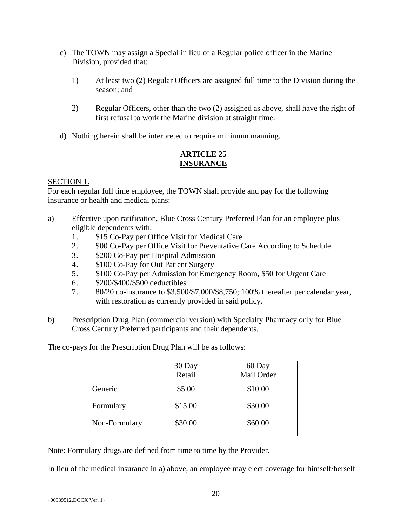- c) The TOWN may assign a Special in lieu of a Regular police officer in the Marine Division, provided that:
	- 1) At least two (2) Regular Officers are assigned full time to the Division during the season; and
	- 2) Regular Officers, other than the two (2) assigned as above, shall have the right of first refusal to work the Marine division at straight time.
- d) Nothing herein shall be interpreted to require minimum manning.

## **ARTICLE 25 INSURANCE**

## SECTION 1.

For each regular full time employee, the TOWN shall provide and pay for the following insurance or health and medical plans:

- a) Effective upon ratification, Blue Cross Century Preferred Plan for an employee plus eligible dependents with:
	- 1. \$15 Co-Pay per Office Visit for Medical Care
	- 2. \$00 Co-Pay per Office Visit for Preventative Care According to Schedule
	- 3. \$200 Co-Pay per Hospital Admission
	- 4. \$100 Co-Pay for Out Patient Surgery
	- 5. \$100 Co-Pay per Admission for Emergency Room, \$50 for Urgent Care
	- 6. \$200/\$400/\$500 deductibles
	- 7. 80/20 co-insurance to \$3,500/\$7,000/\$8,750; 100% thereafter per calendar year, with restoration as currently provided in said policy.
- b) Prescription Drug Plan (commercial version) with Specialty Pharmacy only for Blue Cross Century Preferred participants and their dependents.

The co-pays for the Prescription Drug Plan will be as follows:

|               | 30 Day<br>Retail | 60 Day<br>Mail Order |
|---------------|------------------|----------------------|
| Generic       | \$5.00           | \$10.00              |
| Formulary     | \$15.00          | \$30.00              |
| Non-Formulary | \$30.00          | \$60.00              |

Note: Formulary drugs are defined from time to time by the Provider.

In lieu of the medical insurance in a) above, an employee may elect coverage for himself/herself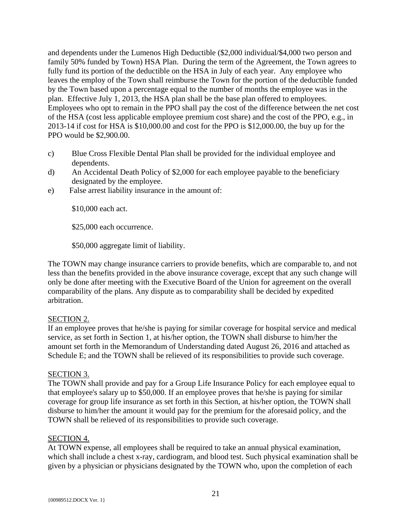and dependents under the Lumenos High Deductible (\$2,000 individual/\$4,000 two person and family 50% funded by Town) HSA Plan. During the term of the Agreement, the Town agrees to fully fund its portion of the deductible on the HSA in July of each year. Any employee who leaves the employ of the Town shall reimburse the Town for the portion of the deductible funded by the Town based upon a percentage equal to the number of months the employee was in the plan. Effective July 1, 2013, the HSA plan shall be the base plan offered to employees. Employees who opt to remain in the PPO shall pay the cost of the difference between the net cost of the HSA (cost less applicable employee premium cost share) and the cost of the PPO, e.g., in 2013-14 if cost for HSA is \$10,000.00 and cost for the PPO is \$12,000.00, the buy up for the PPO would be \$2,900.00.

- c) Blue Cross Flexible Dental Plan shall be provided for the individual employee and dependents.
- d) An Accidental Death Policy of \$2,000 for each employee payable to the beneficiary designated by the employee.
- e) False arrest liability insurance in the amount of:

\$10,000 each act.

\$25,000 each occurrence.

\$50,000 aggregate limit of liability.

The TOWN may change insurance carriers to provide benefits, which are comparable to, and not less than the benefits provided in the above insurance coverage, except that any such change will only be done after meeting with the Executive Board of the Union for agreement on the overall comparability of the plans. Any dispute as to comparability shall be decided by expedited arbitration.

## SECTION 2.

If an employee proves that he/she is paying for similar coverage for hospital service and medical service, as set forth in Section 1, at his/her option, the TOWN shall disburse to him/her the amount set forth in the Memorandum of Understanding dated August 26, 2016 and attached as Schedule E; and the TOWN shall be relieved of its responsibilities to provide such coverage.

## SECTION 3.

The TOWN shall provide and pay for a Group Life Insurance Policy for each employee equal to that employee's salary up to \$50,000. If an employee proves that he/she is paying for similar coverage for group life insurance as set forth in this Section, at his/her option, the TOWN shall disburse to him/her the amount it would pay for the premium for the aforesaid policy, and the TOWN shall be relieved of its responsibilities to provide such coverage.

## SECTION 4.

At TOWN expense, all employees shall be required to take an annual physical examination, which shall include a chest x-ray, cardiogram, and blood test. Such physical examination shall be given by a physician or physicians designated by the TOWN who, upon the completion of each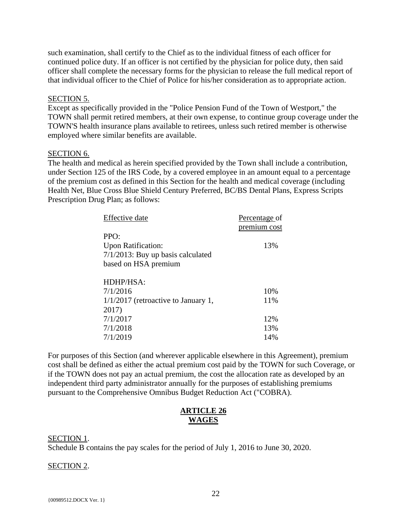such examination, shall certify to the Chief as to the individual fitness of each officer for continued police duty. If an officer is not certified by the physician for police duty, then said officer shall complete the necessary forms for the physician to release the full medical report of that individual officer to the Chief of Police for his/her consideration as to appropriate action.

#### SECTION 5.

Except as specifically provided in the "Police Pension Fund of the Town of Westport," the TOWN shall permit retired members, at their own expense, to continue group coverage under the TOWN'S health insurance plans available to retirees, unless such retired member is otherwise employed where similar benefits are available.

#### SECTION 6.

The health and medical as herein specified provided by the Town shall include a contribution, under Section 125 of the IRS Code, by a covered employee in an amount equal to a percentage of the premium cost as defined in this Section for the health and medical coverage (including Health Net, Blue Cross Blue Shield Century Preferred, BC/BS Dental Plans, Express Scripts Prescription Drug Plan; as follows:

| <b>Effective</b> date                 | Percentage of |
|---------------------------------------|---------------|
|                                       | premium cost  |
| PPO:                                  |               |
| <b>Upon Ratification:</b>             | 13%           |
| $7/1/2013$ : Buy up basis calculated  |               |
| based on HSA premium                  |               |
|                                       |               |
| HDHP/HSA:                             |               |
| 7/1/2016                              | 10%           |
| $1/1/2017$ (retroactive to January 1, | 11%           |
| 2017)                                 |               |
| 7/1/2017                              | 12%           |
| 7/1/2018                              | 13%           |
| 7/1/2019                              | 14%           |

For purposes of this Section (and wherever applicable elsewhere in this Agreement), premium cost shall be defined as either the actual premium cost paid by the TOWN for such Coverage, or if the TOWN does not pay an actual premium, the cost the allocation rate as developed by an independent third party administrator annually for the purposes of establishing premiums pursuant to the Comprehensive Omnibus Budget Reduction Act ("COBRA).

## **ARTICLE 26 WAGES**

SECTION 1. Schedule B contains the pay scales for the period of July 1, 2016 to June 30, 2020.

#### SECTION 2.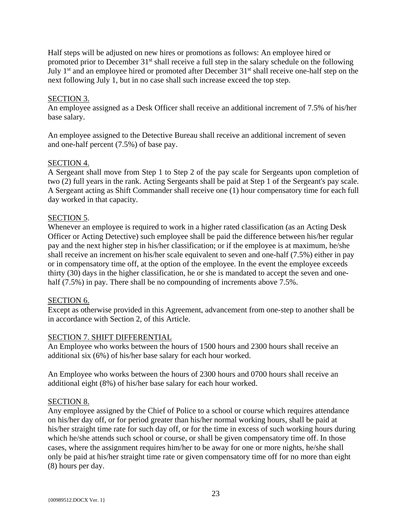Half steps will be adjusted on new hires or promotions as follows: An employee hired or promoted prior to December 31<sup>st</sup> shall receive a full step in the salary schedule on the following July 1<sup>st</sup> and an employee hired or promoted after December 31<sup>st</sup> shall receive one-half step on the next following July 1, but in no case shall such increase exceed the top step.

## SECTION 3.

An employee assigned as a Desk Officer shall receive an additional increment of 7.5% of his/her base salary.

An employee assigned to the Detective Bureau shall receive an additional increment of seven and one-half percent (7.5%) of base pay.

## SECTION 4.

A Sergeant shall move from Step 1 to Step 2 of the pay scale for Sergeants upon completion of two (2) full years in the rank. Acting Sergeants shall be paid at Step 1 of the Sergeant's pay scale. A Sergeant acting as Shift Commander shall receive one (1) hour compensatory time for each full day worked in that capacity.

## SECTION 5.

Whenever an employee is required to work in a higher rated classification (as an Acting Desk Officer or Acting Detective) such employee shall be paid the difference between his/her regular pay and the next higher step in his/her classification; or if the employee is at maximum, he/she shall receive an increment on his/her scale equivalent to seven and one-half (7.5%) either in pay or in compensatory time off, at the option of the employee. In the event the employee exceeds thirty (30) days in the higher classification, he or she is mandated to accept the seven and onehalf (7.5%) in pay. There shall be no compounding of increments above 7.5%.

## SECTION 6.

Except as otherwise provided in this Agreement, advancement from one-step to another shall be in accordance with Section 2, of this Article.

## SECTION 7. SHIFT DIFFERENTIAL

An Employee who works between the hours of 1500 hours and 2300 hours shall receive an additional six (6%) of his/her base salary for each hour worked.

An Employee who works between the hours of 2300 hours and 0700 hours shall receive an additional eight (8%) of his/her base salary for each hour worked.

## SECTION 8.

Any employee assigned by the Chief of Police to a school or course which requires attendance on his/her day off, or for period greater than his/her normal working hours, shall be paid at his/her straight time rate for such day off, or for the time in excess of such working hours during which he/she attends such school or course, or shall be given compensatory time off. In those cases, where the assignment requires him/her to be away for one or more nights, he/she shall only be paid at his/her straight time rate or given compensatory time off for no more than eight (8) hours per day.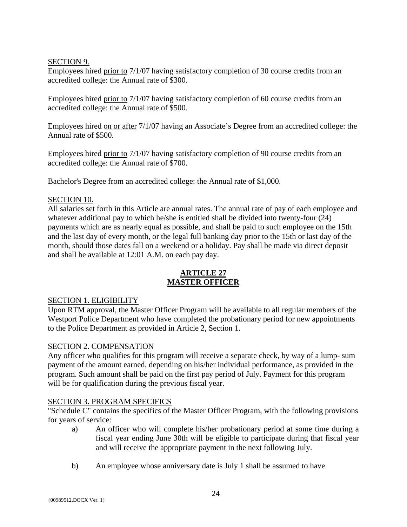## SECTION 9.

Employees hired prior to 7/1/07 having satisfactory completion of 30 course credits from an accredited college: the Annual rate of \$300.

Employees hired prior to 7/1/07 having satisfactory completion of 60 course credits from an accredited college: the Annual rate of \$500.

Employees hired on or after 7/1/07 having an Associate's Degree from an accredited college: the Annual rate of \$500.

Employees hired prior to 7/1/07 having satisfactory completion of 90 course credits from an accredited college: the Annual rate of \$700.

Bachelor's Degree from an accredited college: the Annual rate of \$1,000.

## SECTION 10.

All salaries set forth in this Article are annual rates. The annual rate of pay of each employee and whatever additional pay to which he/she is entitled shall be divided into twenty-four (24) payments which are as nearly equal as possible, and shall be paid to such employee on the 15th and the last day of every month, or the legal full banking day prior to the 15th or last day of the month, should those dates fall on a weekend or a holiday. Pay shall be made via direct deposit and shall be available at 12:01 A.M. on each pay day.

## **ARTICLE 27 MASTER OFFICER**

## SECTION 1. ELIGIBILITY

Upon RTM approval, the Master Officer Program will be available to all regular members of the Westport Police Department who have completed the probationary period for new appointments to the Police Department as provided in Article 2, Section 1.

## SECTION 2. COMPENSATION

Any officer who qualifies for this program will receive a separate check, by way of a lump- sum payment of the amount earned, depending on his/her individual performance, as provided in the program. Such amount shall be paid on the first pay period of July. Payment for this program will be for qualification during the previous fiscal year.

## SECTION 3. PROGRAM SPECIFICS

"Schedule C" contains the specifics of the Master Officer Program, with the following provisions for years of service:

- a) An officer who will complete his/her probationary period at some time during a fiscal year ending June 30th will be eligible to participate during that fiscal year and will receive the appropriate payment in the next following July.
- b) An employee whose anniversary date is July 1 shall be assumed to have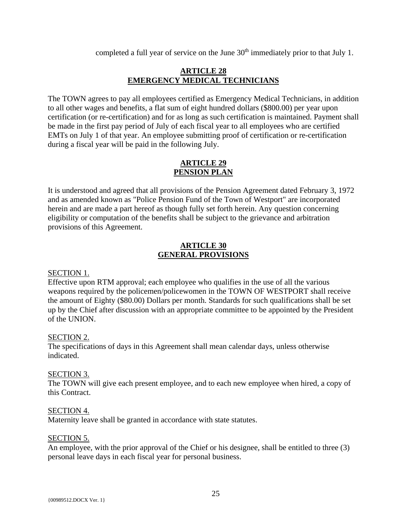completed a full year of service on the June 30<sup>th</sup> immediately prior to that July 1.

## **ARTICLE 28 EMERGENCY MEDICAL TECHNICIANS**

The TOWN agrees to pay all employees certified as Emergency Medical Technicians, in addition to all other wages and benefits, a flat sum of eight hundred dollars (\$800.00) per year upon certification (or re-certification) and for as long as such certification is maintained. Payment shall be made in the first pay period of July of each fiscal year to all employees who are certified EMTs on July 1 of that year. An employee submitting proof of certification or re-certification during a fiscal year will be paid in the following July.

## **ARTICLE 29 PENSION PLAN**

It is understood and agreed that all provisions of the Pension Agreement dated February 3, 1972 and as amended known as "Police Pension Fund of the Town of Westport" are incorporated herein and are made a part hereof as though fully set forth herein. Any question concerning eligibility or computation of the benefits shall be subject to the grievance and arbitration provisions of this Agreement.

## **ARTICLE 30 GENERAL PROVISIONS**

## SECTION 1.

Effective upon RTM approval; each employee who qualifies in the use of all the various weapons required by the policemen/policewomen in the TOWN OF WESTPORT shall receive the amount of Eighty (\$80.00) Dollars per month. Standards for such qualifications shall be set up by the Chief after discussion with an appropriate committee to be appointed by the President of the UNION.

## SECTION 2.

The specifications of days in this Agreement shall mean calendar days, unless otherwise indicated.

## SECTION 3.

The TOWN will give each present employee, and to each new employee when hired, a copy of this Contract.

#### SECTION 4.

Maternity leave shall be granted in accordance with state statutes.

#### SECTION 5.

An employee, with the prior approval of the Chief or his designee, shall be entitled to three (3) personal leave days in each fiscal year for personal business.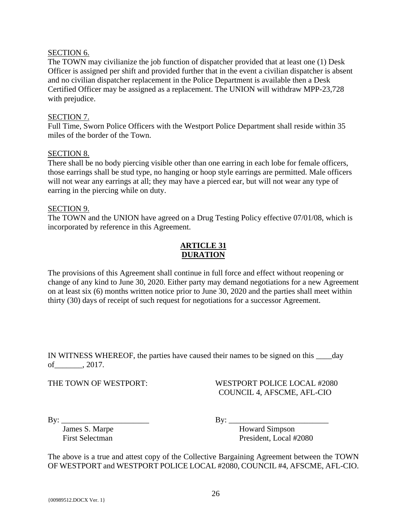## SECTION 6.

The TOWN may civilianize the job function of dispatcher provided that at least one (1) Desk Officer is assigned per shift and provided further that in the event a civilian dispatcher is absent and no civilian dispatcher replacement in the Police Department is available then a Desk Certified Officer may be assigned as a replacement. The UNION will withdraw MPP-23,728 with prejudice.

#### SECTION 7.

Full Time, Sworn Police Officers with the Westport Police Department shall reside within 35 miles of the border of the Town.

#### SECTION 8.

There shall be no body piercing visible other than one earring in each lobe for female officers, those earrings shall be stud type, no hanging or hoop style earrings are permitted. Male officers will not wear any earrings at all; they may have a pierced ear, but will not wear any type of earring in the piercing while on duty.

#### SECTION 9.

The TOWN and the UNION have agreed on a Drug Testing Policy effective 07/01/08, which is incorporated by reference in this Agreement.

## **ARTICLE 31 DURATION**

The provisions of this Agreement shall continue in full force and effect without reopening or change of any kind to June 30, 2020. Either party may demand negotiations for a new Agreement on at least six (6) months written notice prior to June 30, 2020 and the parties shall meet within thirty (30) days of receipt of such request for negotiations for a successor Agreement.

IN WITNESS WHEREOF, the parties have caused their names to be signed on this day of\_\_\_\_\_\_\_, 2017.

## THE TOWN OF WESTPORT: WESTPORT POLICE LOCAL #2080 COUNCIL 4, AFSCME, AFL-CIO

By: \_\_\_\_\_\_\_\_\_\_\_\_\_\_\_\_\_\_\_\_\_\_ By: \_\_\_\_\_\_\_\_\_\_\_\_\_\_\_\_\_\_\_\_\_\_\_\_\_

James S. Marpe Howard Simpson First Selectman President, Local #2080

The above is a true and attest copy of the Collective Bargaining Agreement between the TOWN OF WESTPORT and WESTPORT POLICE LOCAL #2080, COUNCIL #4, AFSCME, AFL-CIO.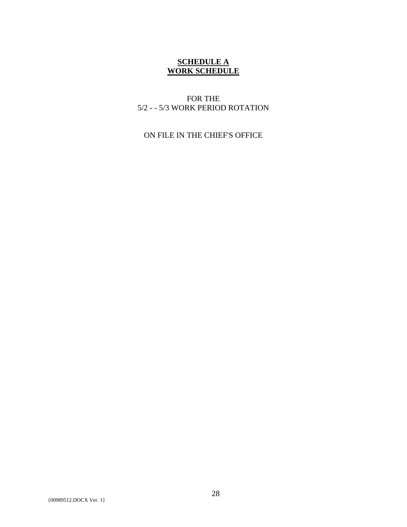## **SCHEDULE A WORK SCHEDULE**

## FOR THE 5/2 - - 5/3 WORK PERIOD ROTATION

ON FILE IN THE CHIEF'S OFFICE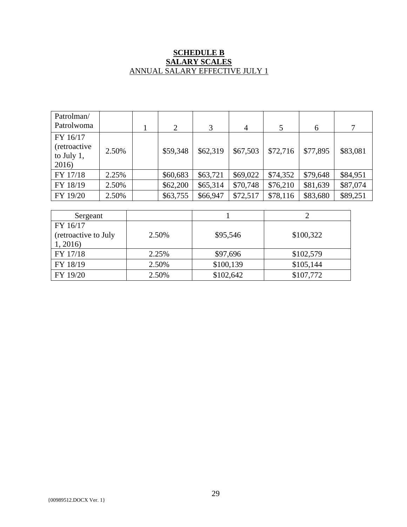## **SCHEDULE B SALARY SCALES** ANNUAL SALARY EFFECTIVE JULY 1

| Patrolman/<br>Patrolwoma                                |       | 2        | 3        | $\overline{4}$ | 5        | 6        | 7        |
|---------------------------------------------------------|-------|----------|----------|----------------|----------|----------|----------|
| FY 16/17<br><i>(retroactive)</i><br>to July 1,<br>2016) | 2.50% | \$59,348 | \$62,319 | \$67,503       | \$72,716 | \$77,895 | \$83,081 |
| FY 17/18                                                | 2.25% | \$60,683 | \$63,721 | \$69,022       | \$74,352 | \$79,648 | \$84,951 |
| FY 18/19                                                | 2.50% | \$62,200 | \$65,314 | \$70,748       | \$76,210 | \$81,639 | \$87,074 |
| FY 19/20                                                | 2.50% | \$63,755 | \$66,947 | \$72,517       | \$78,116 | \$83,680 | \$89,251 |

| Sergeant             |       |           |           |
|----------------------|-------|-----------|-----------|
| FY 16/17             |       |           |           |
| (retroactive to July | 2.50% | \$95,546  | \$100,322 |
| 1,2016               |       |           |           |
| FY 17/18             | 2.25% | \$97,696  | \$102,579 |
| FY 18/19             | 2.50% | \$100,139 | \$105,144 |
| FY 19/20             | 2.50% | \$102,642 | \$107,772 |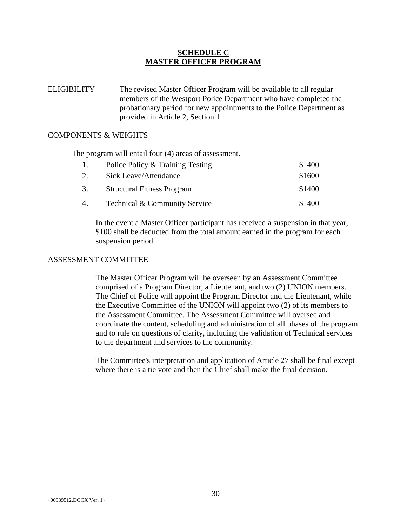## **SCHEDULE C MASTER OFFICER PROGRAM**

ELIGIBILITY The revised Master Officer Program will be available to all regular members of the Westport Police Department who have completed the probationary period for new appointments to the Police Department as provided in Article 2, Section 1.

#### COMPONENTS & WEIGHTS

The program will entail four (4) areas of assessment.

|    | Police Policy & Training Testing  | \$400  |
|----|-----------------------------------|--------|
| 2. | Sick Leave/Attendance             | \$1600 |
| 3. | <b>Structural Fitness Program</b> | \$1400 |
| 4. | Technical & Community Service     | \$400  |

In the event a Master Officer participant has received a suspension in that year, \$100 shall be deducted from the total amount earned in the program for each suspension period.

#### ASSESSMENT COMMITTEE

The Master Officer Program will be overseen by an Assessment Committee comprised of a Program Director, a Lieutenant, and two (2) UNION members. The Chief of Police will appoint the Program Director and the Lieutenant, while the Executive Committee of the UNION will appoint two (2) of its members to the Assessment Committee. The Assessment Committee will oversee and coordinate the content, scheduling and administration of all phases of the program and to rule on questions of clarity, including the validation of Technical services to the department and services to the community.

The Committee's interpretation and application of Article 27 shall be final except where there is a tie vote and then the Chief shall make the final decision.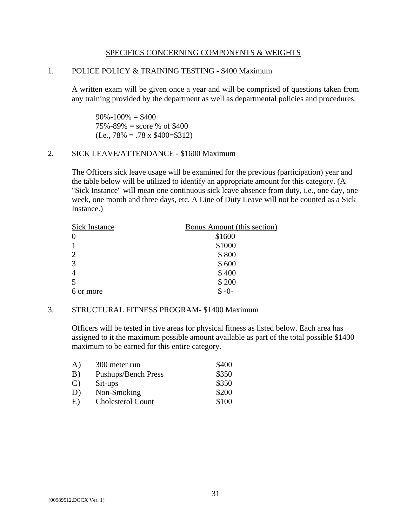#### SPECIFICS CONCERNING COMPONENTS & WEIGHTS

#### 1. POLICE POLICY & TRAINING TESTING - \$400 Maximum

A written exam will be given once a year and will be comprised of questions taken from any training provided by the department as well as departmental policies and procedures.

 $90\% - 100\% = $400$  $75\% - 89\% =$  score % of \$400  $(I.e., 78\% = .78 \times \$400 = \$312)$ 

#### 2. SICK LEAVE/ATTENDANCE - \$1600 Maximum

The Officers sick leave usage will be examined for the previous (participation) year and the table below will be utilized to identify an appropriate amount for this category. (A "Sick Instance" will mean one continuous sick leave absence from duty, i.e., one day, one week, one month and three days, etc. A Line of Duty Leave will not be counted as a Sick Instance.)

| <b>Sick Instance</b> | <b>Bonus Amount (this section)</b> |
|----------------------|------------------------------------|
| $\theta$             | \$1600                             |
| $\mathbf{1}$         | \$1000                             |
| $\overline{2}$       | \$800                              |
| 3                    | \$600                              |
| $\overline{4}$       | \$400                              |
| 5                    | \$200                              |
| 6 or more            | $$ -0-$                            |

#### 3. STRUCTURAL FITNESS PROGRAM- \$1400 Maximum

Officers will be tested in five areas for physical fitness as listed below. Each area has assigned to it the maximum possible amount available as part of the total possible \$1400 maximum to be earned for this entire category.

| $\bf{A}$      | 300 meter run              | \$400 |
|---------------|----------------------------|-------|
| B)            | <b>Pushups/Bench Press</b> | \$350 |
| $\mathcal{C}$ | Sit-ups                    | \$350 |
| D)            | Non-Smoking                | \$200 |
| E)            | <b>Cholesterol Count</b>   | \$100 |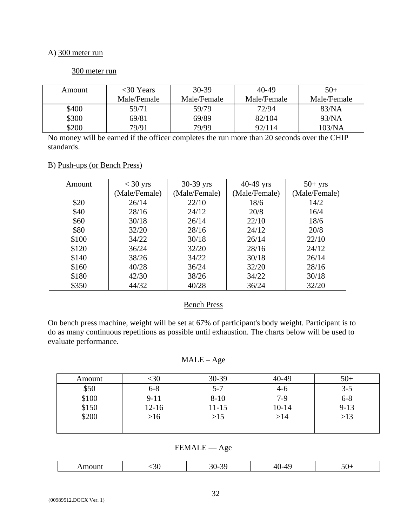#### A) 300 meter run

## 300 meter run

| Amount | $<30$ Years | 30-39       | 40-49       | $50+$       |
|--------|-------------|-------------|-------------|-------------|
|        | Male/Female | Male/Female | Male/Female | Male/Female |
| \$400  | 59/71       | 59/79       | 72/94       | 83/NA       |
| \$300  | 69/81       | 69/89       | 82/104      | 93/NA       |
| \$200  | 79/91       | 79/99       | 92/114      | 103/NA      |

No money will be earned if the officer completes the run more than 20 seconds over the CHIP standards.

#### B) Push-ups (or Bench Press)

| Amount | $<$ 30 yrs    | 30-39 yrs     | $40-49$ yrs   | $50+$ yrs     |
|--------|---------------|---------------|---------------|---------------|
|        | (Male/Female) | (Male/Female) | (Male/Female) | (Male/Female) |
| \$20   | 26/14         | 22/10         | 18/6          | 14/2          |
| \$40   | 28/16         | 24/12         | 20/8          | 16/4          |
| \$60   | 30/18         | 26/14         | 22/10         | 18/6          |
| \$80   | 32/20         | 28/16         | 24/12         | 20/8          |
| \$100  | 34/22         | 30/18         | 26/14         | 22/10         |
| \$120  | 36/24         | 32/20         | 28/16         | 24/12         |
| \$140  | 38/26         | 34/22         | 30/18         | 26/14         |
| \$160  | 40/28         | 36/24         | 32/20         | 28/16         |
| \$180  | 42/30         | 38/26         | 34/22         | 30/18         |
| \$350  | 44/32         | 40/28         | 36/24         | 32/20         |

## Bench Press

On bench press machine, weight will be set at 67% of participant's body weight. Participant is to do as many continuous repetitions as possible until exhaustion. The charts below will be used to evaluate performance.

## MALE – Age

| Amount | <30       | 30-39     | 40-49     | $50+$    |
|--------|-----------|-----------|-----------|----------|
| \$50   | $6 - 8$   | $5 - 7$   | $4-6$     | $3 - 5$  |
| \$100  | $9-11$    | $8 - 10$  | $7-9$     | $6 - 8$  |
| \$150  | $12 - 16$ | $11 - 15$ | $10 - 14$ | $9 - 13$ |
| \$200  | >16       | >15       | >14       | $>13$    |
|        |           |           |           |          |

FEMALE — Age

|  | . . |  |
|--|-----|--|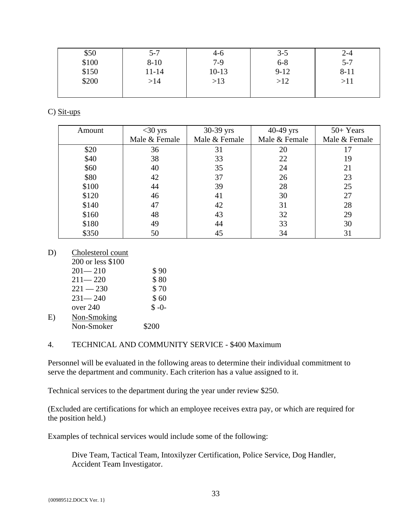| \$50  | $5 - 7$  | 4-6     | $3 - 5$  | $2 - 4$   |
|-------|----------|---------|----------|-----------|
| \$100 | $8 - 10$ | $7-9$   | $6 - 8$  | $5 - 7$   |
| \$150 | 11-14    | $10-13$ | $9 - 12$ | $8 - 11$  |
| \$200 | >14      | >13     | >12      | $>\!\!11$ |
|       |          |         |          |           |

C) Sit-ups

| Amount | $<$ 30 yrs    | 30-39 yrs     | 40-49 yrs     | $50+Years$    |
|--------|---------------|---------------|---------------|---------------|
|        | Male & Female | Male & Female | Male & Female | Male & Female |
| \$20   | 36            | 31            | 20            |               |
| \$40   | 38            | 33            | 22            | 19            |
| \$60   | 40            | 35            | 24            | 21            |
| \$80   | 42            | 37            | 26            | 23            |
| \$100  | 44            | 39            | 28            | 25            |
| \$120  | 46            | 41            | 30            | 27            |
| \$140  | 47            | 42            | 31            | 28            |
| \$160  | 48            | 43            | 32            | 29            |
| \$180  | 49            | 44            | 33            | 30            |
| \$350  | 50            | 45            | 34            | 31            |

D) Cholesterol count

 $E)$ 

| 200 or less \$100 |         |
|-------------------|---------|
| $201 - 210$       | \$90    |
| $211 - 220$       | \$80    |
| $221 - 230$       | \$70    |
| $231 - 240$       | \$60    |
| over 240          | $$ -0-$ |
| Non-Smoking       |         |
| Non-Smoker        | \$200   |

## 4. TECHNICAL AND COMMUNITY SERVICE - \$400 Maximum

Personnel will be evaluated in the following areas to determine their individual commitment to serve the department and community. Each criterion has a value assigned to it.

Technical services to the department during the year under review \$250.

(Excluded are certifications for which an employee receives extra pay, or which are required for the position held.)

Examples of technical services would include some of the following:

Dive Team, Tactical Team, Intoxilyzer Certification, Police Service, Dog Handler, Accident Team Investigator.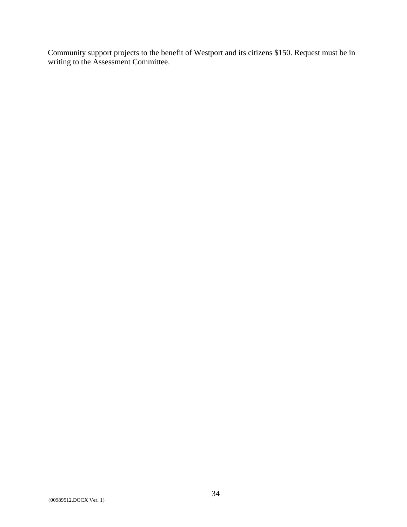Community support projects to the benefit of Westport and its citizens \$150. Request must be in writing to the Assessment Committee.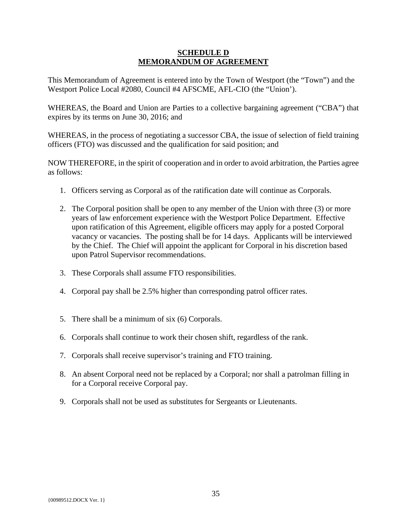## **SCHEDULE D MEMORANDUM OF AGREEMENT**

This Memorandum of Agreement is entered into by the Town of Westport (the "Town") and the Westport Police Local #2080, Council #4 AFSCME, AFL-CIO (the "Union').

WHEREAS, the Board and Union are Parties to a collective bargaining agreement ("CBA") that expires by its terms on June 30, 2016; and

WHEREAS, in the process of negotiating a successor CBA, the issue of selection of field training officers (FTO) was discussed and the qualification for said position; and

NOW THEREFORE, in the spirit of cooperation and in order to avoid arbitration, the Parties agree as follows:

- 1. Officers serving as Corporal as of the ratification date will continue as Corporals.
- 2. The Corporal position shall be open to any member of the Union with three (3) or more years of law enforcement experience with the Westport Police Department. Effective upon ratification of this Agreement, eligible officers may apply for a posted Corporal vacancy or vacancies. The posting shall be for 14 days. Applicants will be interviewed by the Chief. The Chief will appoint the applicant for Corporal in his discretion based upon Patrol Supervisor recommendations.
- 3. These Corporals shall assume FTO responsibilities.
- 4. Corporal pay shall be 2.5% higher than corresponding patrol officer rates.
- 5. There shall be a minimum of six (6) Corporals.
- 6. Corporals shall continue to work their chosen shift, regardless of the rank.
- 7. Corporals shall receive supervisor's training and FTO training.
- 8. An absent Corporal need not be replaced by a Corporal; nor shall a patrolman filling in for a Corporal receive Corporal pay.
- 9. Corporals shall not be used as substitutes for Sergeants or Lieutenants.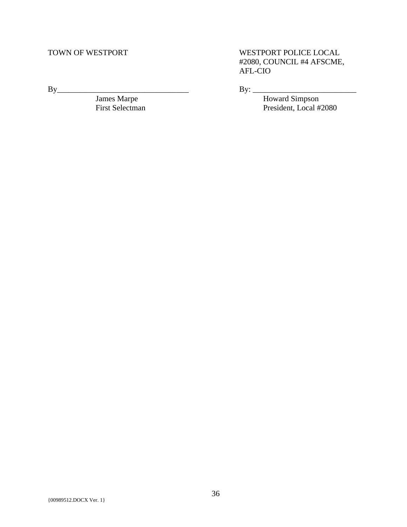James Marpe **Howard Simpson** 

TOWN OF WESTPORT **WESTPORT POLICE LOCAL** #2080, COUNCIL #4 AFSCME, AFL-CIO

By\_\_\_\_\_\_\_\_\_\_\_\_\_\_\_\_\_\_\_\_\_\_\_\_\_\_\_\_\_\_\_\_\_ By: \_\_\_\_\_\_\_\_\_\_\_\_\_\_\_\_\_\_\_\_\_\_\_\_\_\_

First Selectman By: <u>Howard Simpson</u><br>First Selectman President, Local #2080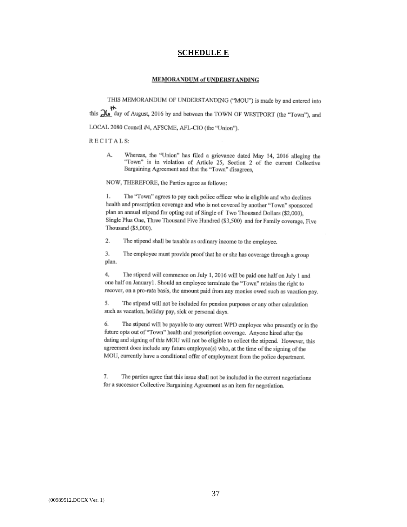#### **SCHEDULE E**

#### **MEMORANDUM of UNDERSTANDING**

THIS MEMORANDUM OF UNDERSTANDING ("MOU") is made by and entered into this  $\frac{1}{26}$  day of August, 2016 by and between the TOWN OF WESTPORT (the "Town"), and LOCAL 2080 Council #4, AFSCME, AFL-CIO (the "Union").

#### RECITALS:

Whereas, the "Union" has filed a grievance dated May 14, 2016 alleging the А. "Town" is in violation of Article 25, Section 2 of the current Collective Bargaining Agreement and that the "Town" disagrees,

NOW, THEREFORE, the Parties agree as follows:

The "Town" agrees to pay each police officer who is eligible and who declines 1. health and prescription coverage and who is not covered by another "Town" sponsored plan an annual stipend for opting out of Single of Two Thousand Dollars (\$2,000), Single Plus One, Three Thousand Five Hundred (\$3,500) and for Family coverage, Five Thousand (\$5,000).

2. The stipend shall be taxable as ordinary income to the employee.

3. The employee must provide proof that he or she has coverage through a group plan.

 $4.$ The stipend will commence on July 1, 2016 will be paid one half on July 1 and one half on January1. Should an employee terminate the "Town" retains the right to recover, on a pro-rata basis, the amount paid from any monies owed such as vacation pay,

The stipend will not be included for pension purposes or any other calculation 5. such as vacation, holiday pay, sick or personal days.

The stipend will be payable to any current WPD employee who presently or in the 6. future opts out of "Town" health and prescription coverage. Anyone hired after the dating and signing of this MOU will not be eligible to collect the stipend. However, this agreement does include any future employee(s) who, at the time of the signing of the MOU, currently have a conditional offer of employment from the police department.

7. The parties agree that this issue shall not be included in the current negotiations for a successor Collective Bargaining Agreement as an item for negotiation.